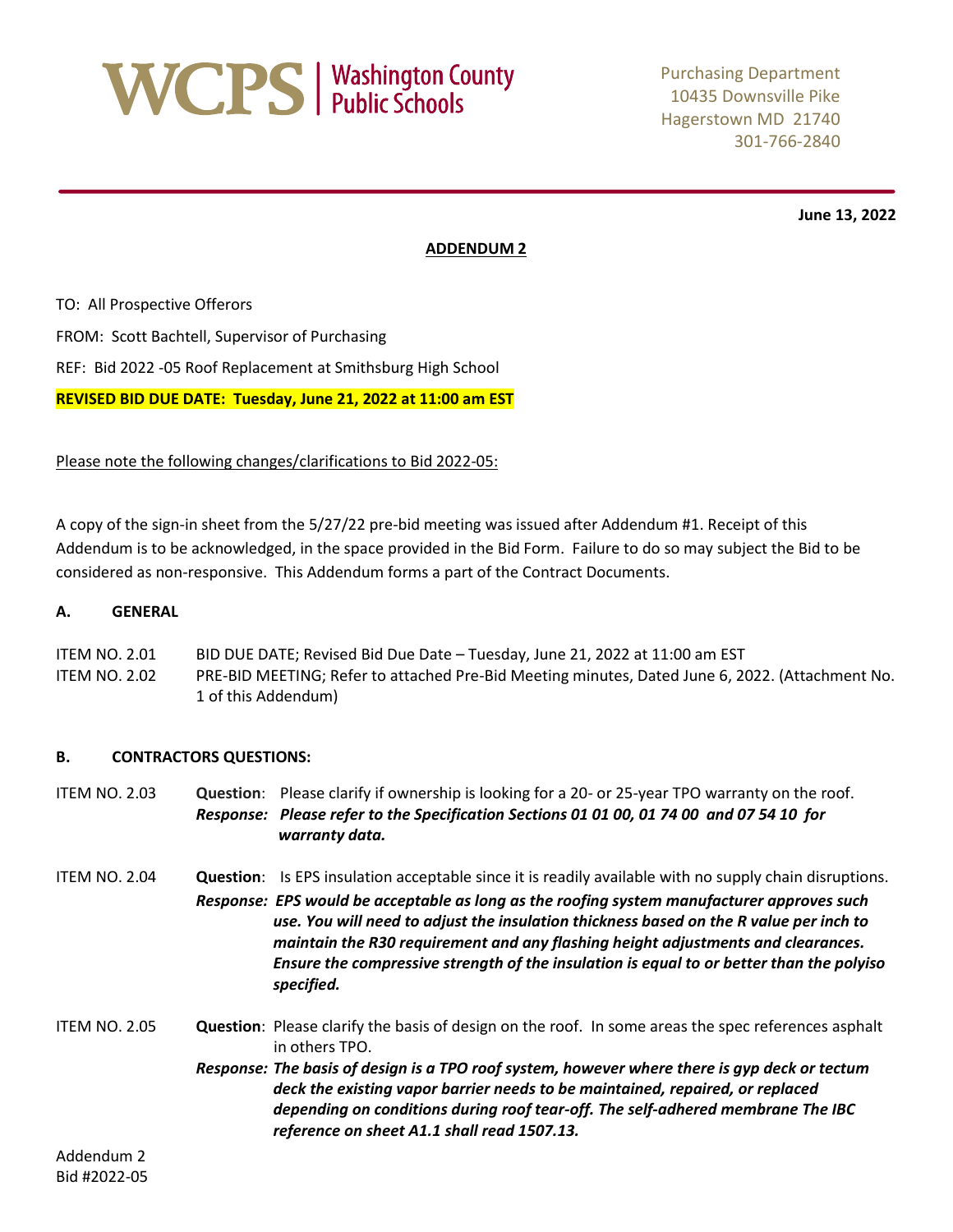

**June 13, 2022**

# **ADDENDUM 2**

TO: All Prospective Offerors FROM: Scott Bachtell, Supervisor of Purchasing REF: Bid 2022 -05 Roof Replacement at Smithsburg High School **REVISED BID DUE DATE: Tuesday, June 21, 2022 at 11:00 am EST**

Please note the following changes/clarifications to Bid 2022-05:

A copy of the sign-in sheet from the 5/27/22 pre-bid meeting was issued after Addendum #1. Receipt of this Addendum is to be acknowledged, in the space provided in the Bid Form. Failure to do so may subject the Bid to be considered as non-responsive. This Addendum forms a part of the Contract Documents.

#### **A. GENERAL**

ITEM NO. 2.01 BID DUE DATE; Revised Bid Due Date – Tuesday, June 21, 2022 at 11:00 am EST ITEM NO. 2.02 PRE-BID MEETING; Refer to attached Pre-Bid Meeting minutes, Dated June 6, 2022. (Attachment No. 1 of this Addendum)

## **B. CONTRACTORS QUESTIONS:**

ITEM NO. 2.03 **Question**: Please clarify if ownership is looking for a 20- or 25-year TPO warranty on the roof. *Response: Please refer to the Specification Sections 01 01 00, 01 74 00 and 07 54 10 for warranty data.*

ITEM NO. 2.04 **Question**: Is EPS insulation acceptable since it is readily available with no supply chain disruptions. *Response: EPS would be acceptable as long as the roofing system manufacturer approves such use. You will need to adjust the insulation thickness based on the R value per inch to maintain the R30 requirement and any flashing height adjustments and clearances. Ensure the compressive strength of the insulation is equal to or better than the polyiso specified.*

ITEM NO. 2.05 **Question**: Please clarify the basis of design on the roof. In some areas the spec references asphalt in others TPO.

*Response: The basis of design is a TPO roof system, however where there is gyp deck or tectum deck the existing vapor barrier needs to be maintained, repaired, or replaced depending on conditions during roof tear-off. The self-adhered membrane The IBC reference on sheet A1.1 shall read 1507.13.*